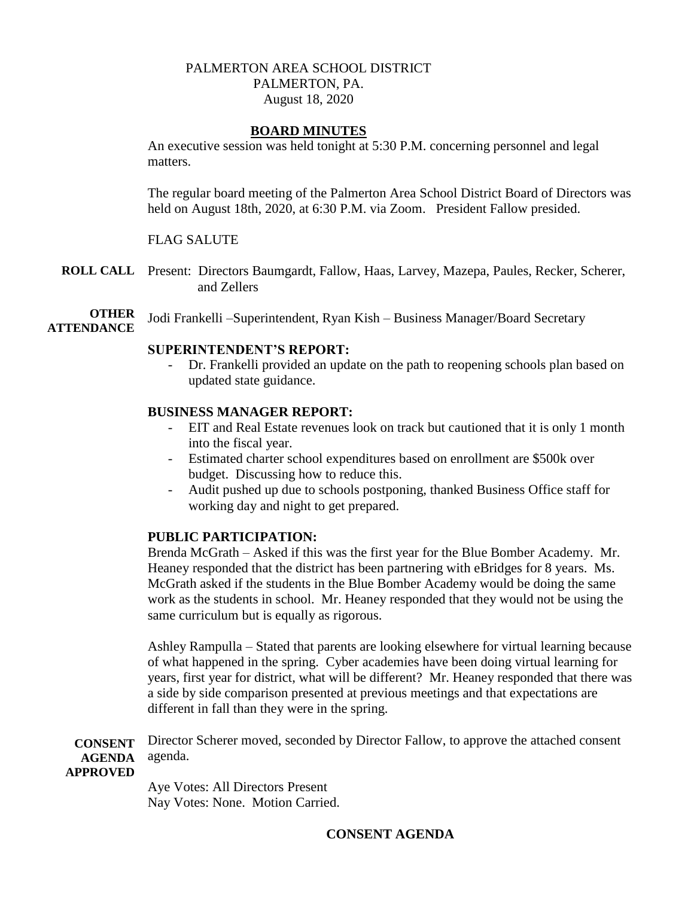# PALMERTON AREA SCHOOL DISTRICT PALMERTON, PA. August 18, 2020

## **BOARD MINUTES**

An executive session was held tonight at 5:30 P.M. concerning personnel and legal matters.

The regular board meeting of the Palmerton Area School District Board of Directors was held on August 18th, 2020, at 6:30 P.M. via Zoom. President Fallow presided.

## FLAG SALUTE

- **ROLL CALL** Present: Directors Baumgardt, Fallow, Haas, Larvey, Mazepa, Paules, Recker, Scherer, and Zellers
- **OTHER ATTENDANCE** Jodi Frankelli –Superintendent, Ryan Kish – Business Manager/Board Secretary

## **SUPERINTENDENT'S REPORT:**

- Dr. Frankelli provided an update on the path to reopening schools plan based on updated state guidance.

## **BUSINESS MANAGER REPORT:**

- EIT and Real Estate revenues look on track but cautioned that it is only 1 month into the fiscal year.
- Estimated charter school expenditures based on enrollment are \$500k over budget. Discussing how to reduce this.
- Audit pushed up due to schools postponing, thanked Business Office staff for working day and night to get prepared.

## **PUBLIC PARTICIPATION:**

Brenda McGrath – Asked if this was the first year for the Blue Bomber Academy. Mr. Heaney responded that the district has been partnering with eBridges for 8 years. Ms. McGrath asked if the students in the Blue Bomber Academy would be doing the same work as the students in school. Mr. Heaney responded that they would not be using the same curriculum but is equally as rigorous.

Ashley Rampulla – Stated that parents are looking elsewhere for virtual learning because of what happened in the spring. Cyber academies have been doing virtual learning for years, first year for district, what will be different? Mr. Heaney responded that there was a side by side comparison presented at previous meetings and that expectations are different in fall than they were in the spring.

**CONSENT AGENDA**  Director Scherer moved, seconded by Director Fallow, to approve the attached consent agenda.

**APPROVED**

Aye Votes: All Directors Present Nay Votes: None. Motion Carried.

# **CONSENT AGENDA**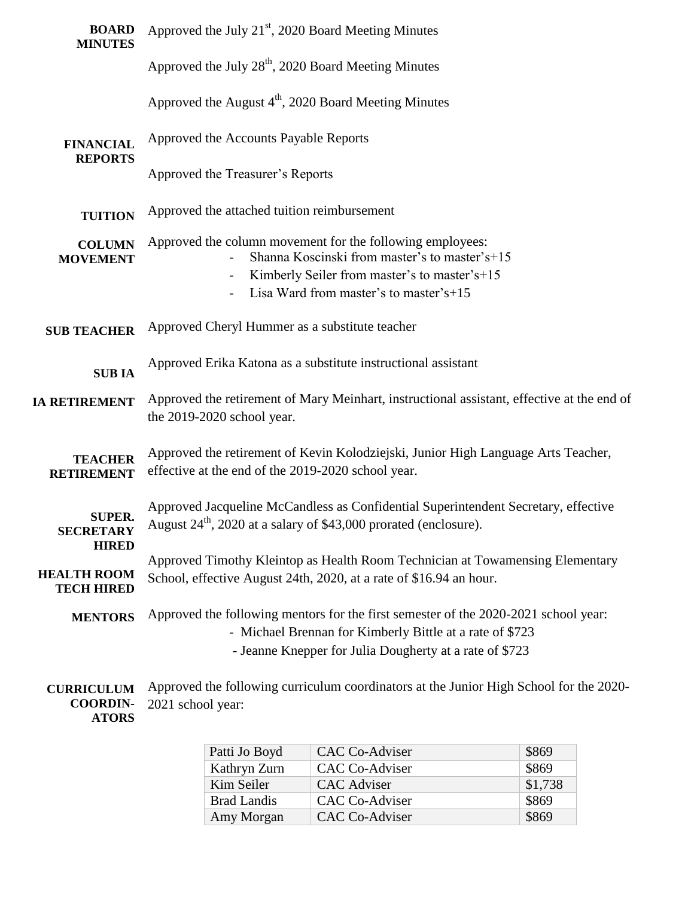| <b>BOARD</b><br><b>MINUTES</b>                          | Approved the July 21 <sup>st</sup> , 2020 Board Meeting Minutes                                                                                                    |  |  |  |  |  |
|---------------------------------------------------------|--------------------------------------------------------------------------------------------------------------------------------------------------------------------|--|--|--|--|--|
|                                                         | Approved the July 28 <sup>th</sup> , 2020 Board Meeting Minutes                                                                                                    |  |  |  |  |  |
|                                                         | Approved the August $4th$ , 2020 Board Meeting Minutes                                                                                                             |  |  |  |  |  |
| <b>FINANCIAL</b><br><b>REPORTS</b>                      | Approved the Accounts Payable Reports                                                                                                                              |  |  |  |  |  |
|                                                         | Approved the Treasurer's Reports                                                                                                                                   |  |  |  |  |  |
| <b>TUITION</b>                                          | Approved the attached tuition reimbursement                                                                                                                        |  |  |  |  |  |
| <b>COLUMN</b><br><b>MOVEMENT</b>                        | Approved the column movement for the following employees:<br>Shanna Koscinski from master's to master's+15                                                         |  |  |  |  |  |
|                                                         | Kimberly Seiler from master's to master's+15                                                                                                                       |  |  |  |  |  |
|                                                         | Lisa Ward from master's to master's+15                                                                                                                             |  |  |  |  |  |
| <b>SUB TEACHER</b>                                      | Approved Cheryl Hummer as a substitute teacher                                                                                                                     |  |  |  |  |  |
| <b>SUBIA</b>                                            | Approved Erika Katona as a substitute instructional assistant                                                                                                      |  |  |  |  |  |
| <b>IA RETIREMENT</b>                                    | Approved the retirement of Mary Meinhart, instructional assistant, effective at the end of<br>the 2019-2020 school year.                                           |  |  |  |  |  |
| <b>TEACHER</b><br><b>RETIREMENT</b>                     | Approved the retirement of Kevin Kolodziejski, Junior High Language Arts Teacher,<br>effective at the end of the 2019-2020 school year.                            |  |  |  |  |  |
| <b>SUPER.</b><br><b>SECRETARY</b>                       | Approved Jacqueline McCandless as Confidential Superintendent Secretary, effective<br>August 24 <sup>th</sup> , 2020 at a salary of \$43,000 prorated (enclosure). |  |  |  |  |  |
| <b>HIRED</b><br><b>HEALTH ROOM</b><br><b>TECH HIRED</b> | Approved Timothy Kleintop as Health Room Technician at Towamensing Elementary<br>School, effective August 24th, 2020, at a rate of \$16.94 an hour.                |  |  |  |  |  |
| <b>MENTORS</b>                                          | Approved the following mentors for the first semester of the 2020-2021 school year:<br>- Michael Brennan for Kimberly Bittle at a rate of \$723                    |  |  |  |  |  |
|                                                         | - Jeanne Knepper for Julia Dougherty at a rate of \$723                                                                                                            |  |  |  |  |  |
| <b>CURRICULUM</b><br><b>COORDIN-</b>                    | Approved the following curriculum coordinators at the Junior High School for the 2020-<br>2021 school year:                                                        |  |  |  |  |  |

**ATORS**

| <b>CAC Co-Adviser</b> | \$869   |
|-----------------------|---------|
| <b>CAC Co-Adviser</b> | \$869   |
| <b>CAC</b> Adviser    | \$1,738 |
| <b>CAC Co-Adviser</b> | \$869   |
| <b>CAC Co-Adviser</b> | \$869   |
|                       |         |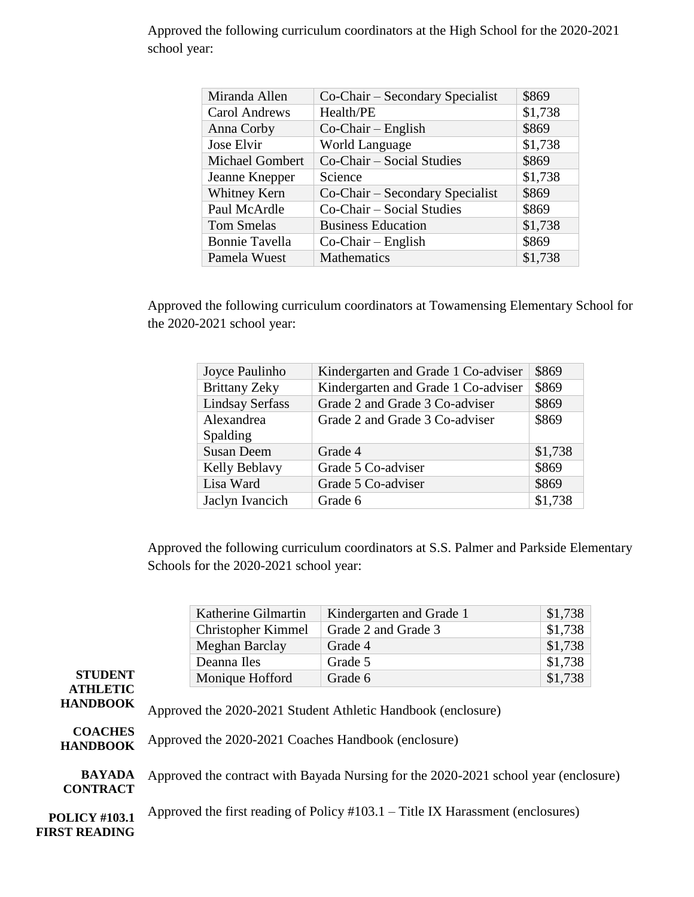| Miranda Allen          | Co-Chair – Secondary Specialist | \$869   |
|------------------------|---------------------------------|---------|
| <b>Carol Andrews</b>   | Health/PE                       | \$1,738 |
| Anna Corby             | $Co-Chair - English$            | \$869   |
| Jose Elvir             | <b>World Language</b>           | \$1,738 |
| <b>Michael Gombert</b> | Co-Chair – Social Studies       | \$869   |
| Jeanne Knepper         | Science                         | \$1,738 |
| Whitney Kern           | Co-Chair – Secondary Specialist | \$869   |
| Paul McArdle           | Co-Chair – Social Studies       | \$869   |
| <b>Tom Smelas</b>      | <b>Business Education</b>       | \$1,738 |
| <b>Bonnie Tavella</b>  | $Co-Chair - English$            | \$869   |
| Pamela Wuest           | <b>Mathematics</b>              | \$1,738 |

Approved the following curriculum coordinators at the High School for the 2020-2021 school year:

Approved the following curriculum coordinators at Towamensing Elementary School for the 2020-2021 school year:

| Joyce Paulinho         | Kindergarten and Grade 1 Co-adviser | \$869   |
|------------------------|-------------------------------------|---------|
| <b>Brittany Zeky</b>   | Kindergarten and Grade 1 Co-adviser | \$869   |
| <b>Lindsay Serfass</b> | Grade 2 and Grade 3 Co-adviser      | \$869   |
| Alexandrea             | Grade 2 and Grade 3 Co-adviser      | \$869   |
| Spalding               |                                     |         |
| <b>Susan Deem</b>      | Grade 4                             | \$1,738 |
| Kelly Beblavy          | Grade 5 Co-adviser                  | \$869   |
| Lisa Ward              | Grade 5 Co-adviser                  | \$869   |
| Jaclyn Ivancich        | Grade 6                             | \$1,738 |

Approved the following curriculum coordinators at S.S. Palmer and Parkside Elementary Schools for the 2020-2021 school year:

|                                                      |                                                                                                                     | Katherine Gilmartin | Kindergarten and Grade 1 | \$1,738 |  |  |  |
|------------------------------------------------------|---------------------------------------------------------------------------------------------------------------------|---------------------|--------------------------|---------|--|--|--|
|                                                      |                                                                                                                     | Christopher Kimmel  | Grade 2 and Grade 3      | \$1,738 |  |  |  |
|                                                      |                                                                                                                     | Meghan Barclay      | Grade 4                  | \$1,738 |  |  |  |
|                                                      |                                                                                                                     | Deanna Iles         | Grade 5                  | \$1,738 |  |  |  |
| <b>STUDENT</b><br><b>ATHLETIC</b>                    |                                                                                                                     | Monique Hofford     | Grade 6                  | \$1,738 |  |  |  |
| <b>HANDBOOK</b><br><b>COACHES</b><br><b>HANDBOOK</b> | Approved the 2020-2021 Student Athletic Handbook (enclosure)<br>Approved the 2020-2021 Coaches Handbook (enclosure) |                     |                          |         |  |  |  |
| <b>BAYADA</b><br><b>CONTRACT</b>                     | Approved the contract with Bayada Nursing for the 2020-2021 school year (enclosure)                                 |                     |                          |         |  |  |  |
| <b>POLICY #103.1</b><br><b>FIRST READING</b>         | Approved the first reading of Policy $\#103.1$ – Title IX Harassment (enclosures)                                   |                     |                          |         |  |  |  |